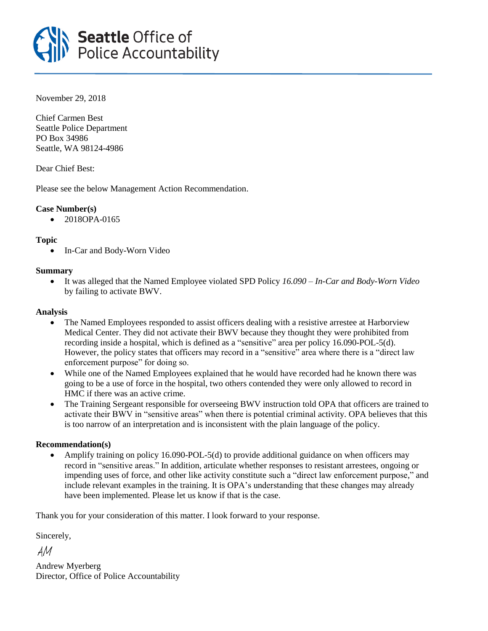# **Seattle Office of<br>Police Accountability**

November 29, 2018

Chief Carmen Best Seattle Police Department PO Box 34986 Seattle, WA 98124-4986

Dear Chief Best:

Please see the below Management Action Recommendation.

# **Case Number(s)**

• 2018OPA-0165

# **Topic**

• In-Car and Body-Worn Video

# **Summary**

• It was alleged that the Named Employee violated SPD Policy *16.090 – In-Car and Body-Worn Video* by failing to activate BWV.

### **Analysis**

- The Named Employees responded to assist officers dealing with a resistive arrestee at Harborview Medical Center. They did not activate their BWV because they thought they were prohibited from recording inside a hospital, which is defined as a "sensitive" area per policy 16.090-POL-5(d). However, the policy states that officers may record in a "sensitive" area where there is a "direct law enforcement purpose" for doing so.
- While one of the Named Employees explained that he would have recorded had he known there was going to be a use of force in the hospital, two others contended they were only allowed to record in HMC if there was an active crime.
- The Training Sergeant responsible for overseeing BWV instruction told OPA that officers are trained to activate their BWV in "sensitive areas" when there is potential criminal activity. OPA believes that this is too narrow of an interpretation and is inconsistent with the plain language of the policy.

### **Recommendation(s)**

• Amplify training on policy 16.090-POL-5(d) to provide additional guidance on when officers may record in "sensitive areas." In addition, articulate whether responses to resistant arrestees, ongoing or impending uses of force, and other like activity constitute such a "direct law enforcement purpose," and include relevant examples in the training. It is OPA's understanding that these changes may already have been implemented. Please let us know if that is the case.

Thank you for your consideration of this matter. I look forward to your response.

Sincerely,

AM

Andrew Myerberg Director, Office of Police Accountability